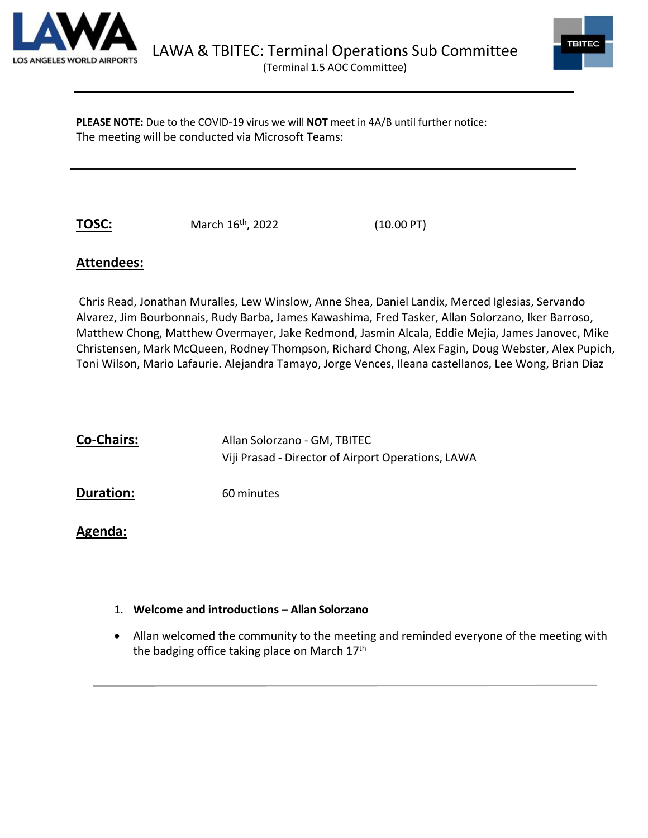



**PLEASE NOTE:** Due to the COVID-19 virus we will **NOT** meet in 4A/B until further notice: The meeting will be conducted via Microsoft Teams:

**TOSC:** March 16<sup>th</sup>, 2022 (10.00 PT)

# **Attendees:**

Chris Read, Jonathan Muralles, Lew Winslow, Anne Shea, Daniel Landix, Merced Iglesias, Servando Alvarez, Jim Bourbonnais, Rudy Barba, James Kawashima, Fred Tasker, Allan Solorzano, Iker Barroso, Matthew Chong, Matthew Overmayer, Jake Redmond, Jasmin Alcala, Eddie Mejia, James Janovec, Mike Christensen, Mark McQueen, Rodney Thompson, Richard Chong, Alex Fagin, Doug Webster, Alex Pupich, Toni Wilson, Mario Lafaurie. Alejandra Tamayo, Jorge Vences, Ileana castellanos, Lee Wong, Brian Diaz

| <b>Co-Chairs:</b> | Allan Solorzano - GM, TBITEC                       |
|-------------------|----------------------------------------------------|
|                   | Viji Prasad - Director of Airport Operations, LAWA |
|                   |                                                    |

**Duration:** 60 minutes

**Agenda:** 

- 1. **Welcome and introductions Allan Solorzano**
- Allan welcomed the community to the meeting and reminded everyone of the meeting with the badging office taking place on March 17<sup>th</sup>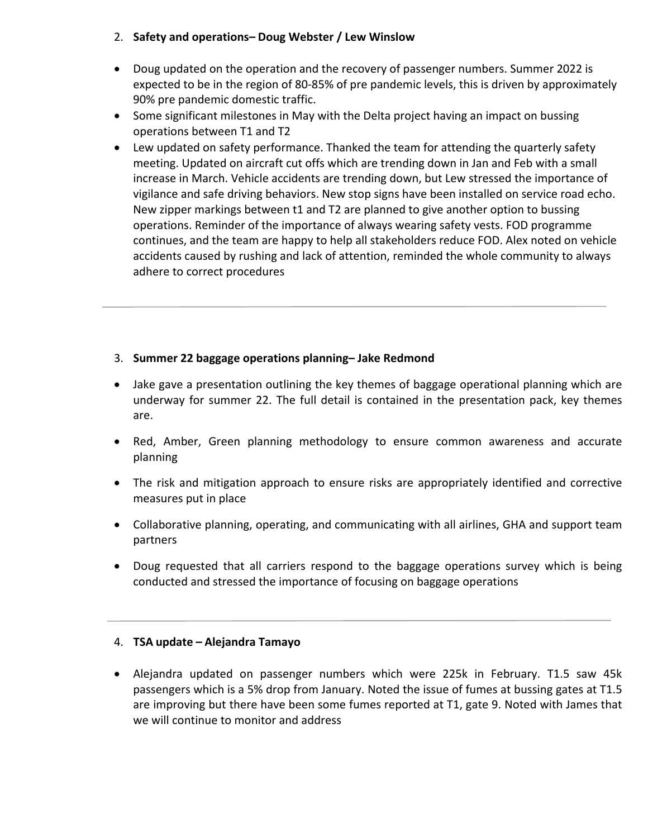## 2. **Safety and operations– Doug Webster / Lew Winslow**

- Doug updated on the operation and the recovery of passenger numbers. Summer 2022 is expected to be in the region of 80-85% of pre pandemic levels, this is driven by approximately 90% pre pandemic domestic traffic.
- Some significant milestones in May with the Delta project having an impact on bussing operations between T1 and T2
- Lew updated on safety performance. Thanked the team for attending the quarterly safety meeting. Updated on aircraft cut offs which are trending down in Jan and Feb with a small increase in March. Vehicle accidents are trending down, but Lew stressed the importance of vigilance and safe driving behaviors. New stop signs have been installed on service road echo. New zipper markings between t1 and T2 are planned to give another option to bussing operations. Reminder of the importance of always wearing safety vests. FOD programme continues, and the team are happy to help all stakeholders reduce FOD. Alex noted on vehicle accidents caused by rushing and lack of attention, reminded the whole community to always adhere to correct procedures

## 3. **Summer 22 baggage operations planning– Jake Redmond**

- Jake gave a presentation outlining the key themes of baggage operational planning which are underway for summer 22. The full detail is contained in the presentation pack, key themes are.
- Red, Amber, Green planning methodology to ensure common awareness and accurate planning
- The risk and mitigation approach to ensure risks are appropriately identified and corrective measures put in place
- Collaborative planning, operating, and communicating with all airlines, GHA and support team partners
- Doug requested that all carriers respond to the baggage operations survey which is being conducted and stressed the importance of focusing on baggage operations

#### 4. **TSA update – Alejandra Tamayo**

• Alejandra updated on passenger numbers which were 225k in February. T1.5 saw 45k passengers which is a 5% drop from January. Noted the issue of fumes at bussing gates at T1.5 are improving but there have been some fumes reported at T1, gate 9. Noted with James that we will continue to monitor and address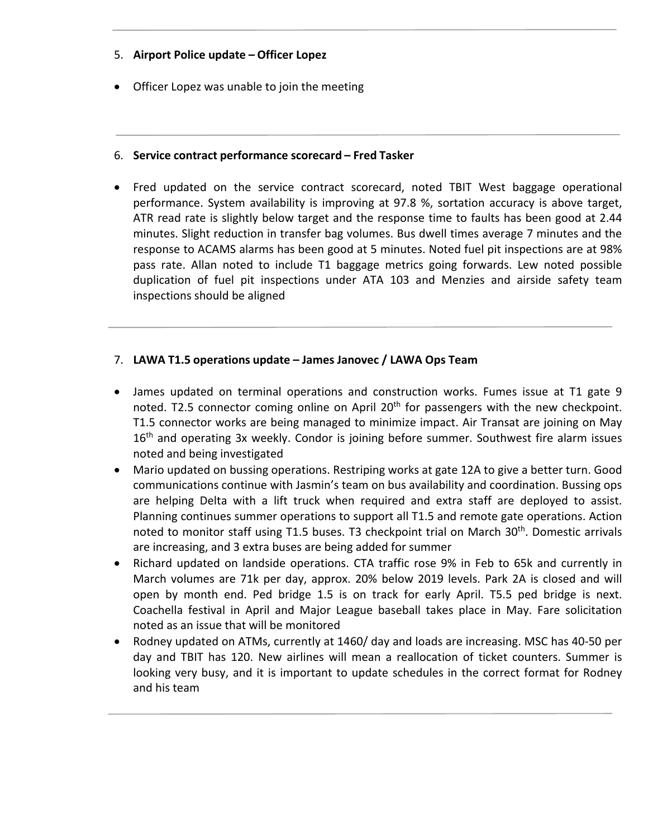## 5. **Airport Police update – Officer Lopez**

• Officer Lopez was unable to join the meeting

#### 6. **Service contract performance scorecard – Fred Tasker**

• Fred updated on the service contract scorecard, noted TBIT West baggage operational performance. System availability is improving at 97.8 %, sortation accuracy is above target, ATR read rate is slightly below target and the response time to faults has been good at 2.44 minutes. Slight reduction in transfer bag volumes. Bus dwell times average 7 minutes and the response to ACAMS alarms has been good at 5 minutes. Noted fuel pit inspections are at 98% pass rate. Allan noted to include T1 baggage metrics going forwards. Lew noted possible duplication of fuel pit inspections under ATA 103 and Menzies and airside safety team inspections should be aligned

## 7. **LAWA T1.5 operations update – James Janovec / LAWA Ops Team**

- James updated on terminal operations and construction works. Fumes issue at T1 gate 9 noted. T2.5 connector coming online on April 20<sup>th</sup> for passengers with the new checkpoint. T1.5 connector works are being managed to minimize impact. Air Transat are joining on May 16<sup>th</sup> and operating 3x weekly. Condor is joining before summer. Southwest fire alarm issues noted and being investigated
- Mario updated on bussing operations. Restriping works at gate 12A to give a better turn. Good communications continue with Jasmin's team on bus availability and coordination. Bussing ops are helping Delta with a lift truck when required and extra staff are deployed to assist. Planning continues summer operations to support all T1.5 and remote gate operations. Action noted to monitor staff using T1.5 buses. T3 checkpoint trial on March 30<sup>th</sup>. Domestic arrivals are increasing, and 3 extra buses are being added for summer
- Richard updated on landside operations. CTA traffic rose 9% in Feb to 65k and currently in March volumes are 71k per day, approx. 20% below 2019 levels. Park 2A is closed and will open by month end. Ped bridge 1.5 is on track for early April. T5.5 ped bridge is next. Coachella festival in April and Major League baseball takes place in May. Fare solicitation noted as an issue that will be monitored
- Rodney updated on ATMs, currently at 1460/ day and loads are increasing. MSC has 40-50 per day and TBIT has 120. New airlines will mean a reallocation of ticket counters. Summer is looking very busy, and it is important to update schedules in the correct format for Rodney and his team